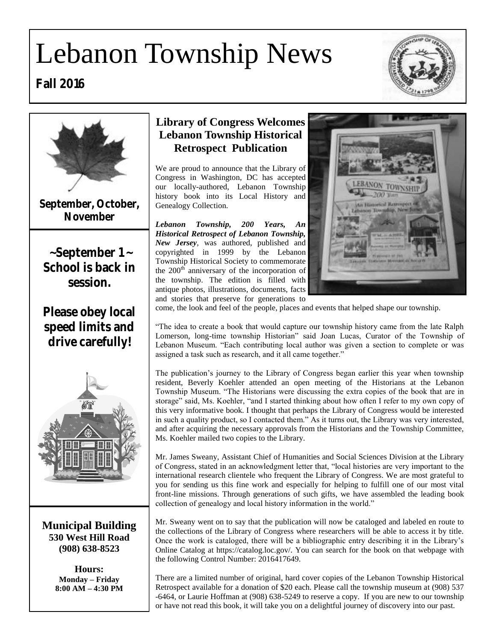# Lebanon Township News







**September, October, November**

**~ September 1 ~ School is back in session.** 

**Please obey local speed limits and drive carefully!**



**Municipal Building 530 West Hill Road (908) 638-8523**

> **Hours: Monday – Friday 8:00 AM – 4:30 PM**

### **Library of Congress Welcomes Lebanon Township Historical Retrospect Publication**

We are proud to announce that the Library of Congress in Washington, DC has accepted our locally-authored, Lebanon Township history book into its Local History and Genealogy Collection.

*Lebanon Township, 200 Years, An Historical Retrospect of Lebanon Township, New Jersey*, was authored, published and copyrighted in 1999 by the Lebanon Township Historical Society to commemorate the  $200<sup>th</sup>$  anniversary of the incorporation of the township. The edition is filled with antique photos, illustrations, documents, facts and stories that preserve for generations to



come, the look and feel of the people, places and events that helped shape our township.

"The idea to create a book that would capture our township history came from the late Ralph Lomerson, long-time township Historian" said Joan Lucas, Curator of the Township of Lebanon Museum. "Each contributing local author was given a section to complete or was assigned a task such as research, and it all came together."

The publication's journey to the Library of Congress began earlier this year when township resident, Beverly Koehler attended an open meeting of the Historians at the Lebanon Township Museum. "The Historians were discussing the extra copies of the book that are in storage" said, Ms. Koehler, "and I started thinking about how often I refer to my own copy of this very informative book. I thought that perhaps the Library of Congress would be interested in such a quality product, so I contacted them." As it turns out, the Library was very interested, and after acquiring the necessary approvals from the Historians and the Township Committee, Ms. Koehler mailed two copies to the Library.

Mr. James Sweany, Assistant Chief of Humanities and Social Sciences Division at the Library of Congress, stated in an acknowledgment letter that, "local histories are very important to the international research clientele who frequent the Library of Congress. We are most grateful to you for sending us this fine work and especially for helping to fulfill one of our most vital front-line missions. Through generations of such gifts, we have assembled the leading book collection of genealogy and local history information in the world."

Mr. Sweany went on to say that the publication will now be cataloged and labeled en route to the collections of the Library of Congress where researchers will be able to access it by title. Once the work is cataloged, there will be a bibliographic entry describing it in the Library's Online Catalog at [https://catalog.loc.gov/.](https://catalog.loc.gov/) You can search for the book on that webpage with the following Control Number: 2016417649.

There are a limited number of original, hard cover copies of the Lebanon Township Historical Retrospect available for a donation of \$20 each. Please call the township museum at (908) 537 -6464, or Laurie Hoffman at (908) 638-5249 to reserve a copy. If you are new to our township or have not read this book, it will take you on a delightful journey of discovery into our past.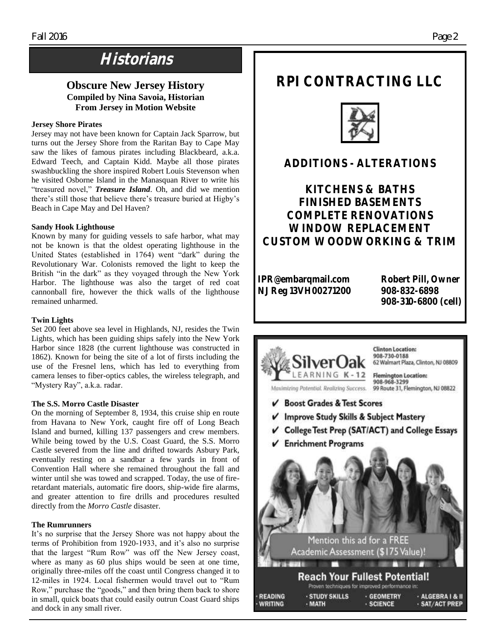### **Historians**

### **Obscure New Jersey History Compiled by Nina Savoia, Historian From Jersey in Motion Website**

#### **Jersey Shore Pirates**

Jersey may not have been known for Captain Jack Sparrow, but turns out the Jersey Shore from the Raritan Bay to Cape May saw the likes of famous pirates including Blackbeard, a.k.a. Edward Teech, and Captain Kidd. Maybe all those pirates swashbuckling the shore inspired Robert Louis Stevenson when he visited Osborne Island in the Manasquan River to write his "treasured novel," *Treasure Island*. Oh, and did we mention there's still those that believe there's treasure buried at Higby's Beach in Cape May and Del Haven?

#### **Sandy Hook Lighthouse**

Known by many for guiding vessels to safe harbor, what may not be known is that the oldest operating lighthouse in the United States (established in 1764) went "dark" during the Revolutionary War. Colonists removed the light to keep the British "in the dark" as they voyaged through the New York Harbor. The lighthouse was also the target of red coat cannonball fire, however the thick walls of the lighthouse remained unharmed.

#### **Twin Lights**

Set 200 feet above sea level in Highlands, NJ, resides the Twin Lights, which has been guiding ships safely into the New York Harbor since 1828 (the current lighthouse was constructed in 1862). Known for being the site of a lot of firsts including the use of the Fresnel lens, which has led to everything from camera lenses to fiber-optics cables, the wireless telegraph, and "Mystery Ray", a.k.a. radar.

#### **The S.S. Morro Castle Disaster**

On the morning of September 8, 1934, this cruise ship en route from Havana to New York, caught fire off of Long Beach Island and burned, killing 137 passengers and crew members. While being towed by the U.S. Coast Guard, the S.S. Morro Castle severed from the line and drifted towards Asbury Park, eventually resting on a sandbar a few yards in front of Convention Hall where she remained throughout the fall and winter until she was towed and scrapped. Today, the use of fireretardant materials, automatic fire doors, ship-wide fire alarms, and greater attention to [fire drills a](https://en.wikipedia.org/wiki/Fire_drill)nd procedures resulted directly from the *Morro Castle* disaster.

#### **The Rumrunners**

It's no surprise that the Jersey Shore was not happy about the terms of Prohibition from 1920-1933, and it's also no surprise that the largest "Rum Row" was off the New Jersey coast, where as many as 60 plus ships would be seen at one time, originally three-miles off the coast until Congress changed it to 12-miles in 1924. Local fishermen would travel out to "Rum Row," purchase the "goods," and then bring them back to shore in small, quick boats that could easily outrun Coast Guard ships and dock in any small river.

### **RPI CONTRACTING LLC**



### **ADDITIONS - ALTERATIONS**

**KITCHENS & BATHS FINISHED BASEMENTS COMPLETE RENOVATIONS WINDOW REPLACEMENT CUSTOM WOODWORKING & TRIM**

**IPR@embarqmail.com Robert Pill, Owner**<br>N LReg 13VH00271200 908-832-6898 **NJ Reg 13VH00271200** 

 **908-310-6800 (cell)**

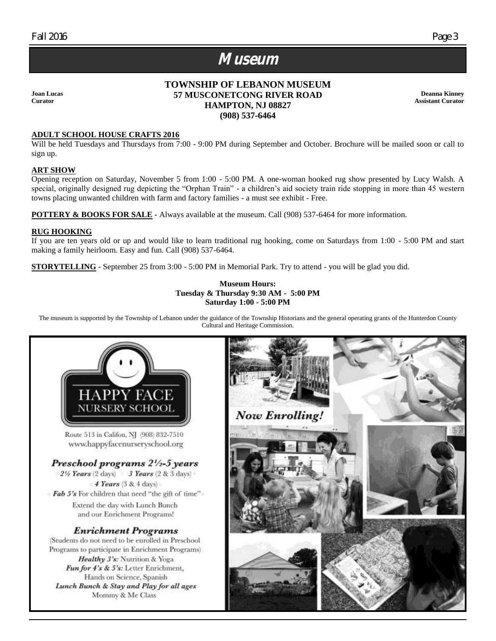### **Museum**

**Joan Lucas Curator**

### **TOWNSHIP OF LEBANON MUSEUM 57 MUSCONETCONG RIVER ROAD HAMPTON, NJ 08827 (908) 537-6464**

**Deanna Kinney Assistant Curator**

### **ADULT SCHOOL HOUSE CRAFTS 2016**

Will be held Tuesdays and Thursdays from 7:00 - 9:00 PM during September and October. Brochure will be mailed soon or call to sign up.

#### **ART SHOW**

Opening reception on Saturday, November 5 from 1:00 - 5:00 PM. A one-woman hooked rug show presented by Lucy Walsh. A special, originally designed rug depicting the "Orphan Train" - a children's aid society train ride stopping in more than 45 western towns placing unwanted children with farm and factory families - a must see exhibit - Free.

**POTTERY & BOOKS FOR SALE -** Always available at the museum. Call (908) 537-6464 for more information.

#### **RUG HOOKING**

If you are ten years old or up and would like to learn traditional rug hooking, come on Saturdays from 1:00 - 5:00 PM and start making a family heirloom. Easy and fun. Call (908) 537-6464.

**STORYTELLING -** September 25 from 3:00 - 5:00 PM in Memorial Park. Try to attend - you will be glad you did.

#### **Museum Hours: Tuesday & Thursday 9:30 AM - 5:00 PM Saturday 1:00 - 5:00 PM**

The museum is supported by the Township of Lebanon under the guidance of the Township Historians and the general operating grants of the Hunterdon County Cultural and Heritage Commission.

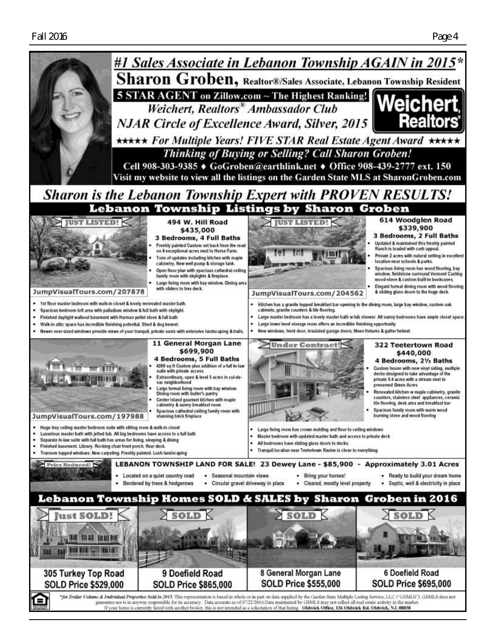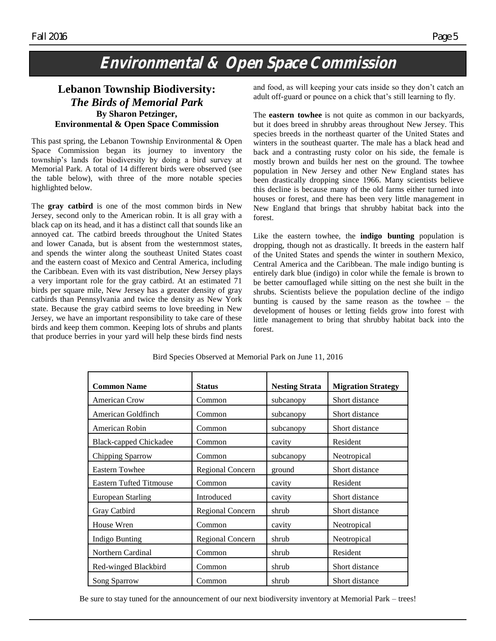### **Environmental & Open Space Commission**

### **Lebanon Township Biodiversity:**  *The Birds of Memorial Park* **By Sharon Petzinger, Environmental & Open Space Commission**

This past spring, the Lebanon Township Environmental & Open Space Commission began its journey to inventory the township's lands for biodiversity by doing a bird survey at Memorial Park. A total of 14 different birds were observed (see the table below), with three of the more notable species highlighted below.

The **gray catbird** is one of the most common birds in New Jersey, second only to the American robin. It is all gray with a black cap on its head, and it has a distinct call that sounds like an annoyed cat. The catbird breeds throughout the United States and lower Canada, but is absent from the westernmost states, and spends the winter along the southeast United States coast and the eastern coast of Mexico and Central America, including the Caribbean. Even with its vast distribution, New Jersey plays a very important role for the gray catbird. At an estimated 71 birds per square mile, New Jersey has a greater density of gray catbirds than Pennsylvania and twice the density as New York state. Because the gray catbird seems to love breeding in New Jersey, we have an important responsibility to take care of these birds and keep them common. Keeping lots of shrubs and plants that produce berries in your yard will help these birds find nests and food, as will keeping your cats inside so they don't catch an adult off-guard or pounce on a chick that's still learning to fly.

The **eastern towhee** is not quite as common in our backyards, but it does breed in shrubby areas throughout New Jersey. This species breeds in the northeast quarter of the United States and winters in the southeast quarter. The male has a black head and back and a contrasting rusty color on his side, the female is mostly brown and builds her nest on the ground. The towhee population in New Jersey and other New England states has been drastically dropping since 1966. Many scientists believe this decline is because many of the old farms either turned into houses or forest, and there has been very little management in New England that brings that shrubby habitat back into the forest.

Like the eastern towhee, the **indigo bunting** population is dropping, though not as drastically. It breeds in the eastern half of the United States and spends the winter in southern Mexico, Central America and the Caribbean. The male indigo bunting is entirely dark blue (indigo) in color while the female is brown to be better camouflaged while sitting on the nest she built in the shrubs. Scientists believe the population decline of the indigo bunting is caused by the same reason as the towhee – the development of houses or letting fields grow into forest with little management to bring that shrubby habitat back into the forest.

| <b>Common Name</b>             | <b>Status</b>           | <b>Nesting Strata</b> | <b>Migration Strategy</b> |
|--------------------------------|-------------------------|-----------------------|---------------------------|
| American Crow                  | Common                  | subcanopy             | Short distance            |
| American Goldfinch             | Common                  | subcanopy             | Short distance            |
| American Robin                 | Common                  | subcanopy             | Short distance            |
| <b>Black-capped Chickadee</b>  | Common                  | cavity                | Resident                  |
| Chipping Sparrow               | Common                  | subcanopy             | Neotropical               |
| <b>Eastern Towhee</b>          | <b>Regional Concern</b> | ground                | Short distance            |
| <b>Eastern Tufted Titmouse</b> | Common                  | cavity                | Resident                  |
| <b>European Starling</b>       | Introduced              | cavity                | Short distance            |
| Gray Catbird                   | <b>Regional Concern</b> | shrub                 | Short distance            |
| House Wren                     | Common                  | cavity                | Neotropical               |
| <b>Indigo Bunting</b>          | <b>Regional Concern</b> | shrub                 | Neotropical               |
| Northern Cardinal              | Common                  | shrub                 | Resident                  |
| Red-winged Blackbird           | Common                  | shrub                 | Short distance            |
| Song Sparrow                   | Common                  | shrub                 | Short distance            |

Bird Species Observed at Memorial Park on June 11, 2016

Be sure to stay tuned for the announcement of our next biodiversity inventory at Memorial Park – trees!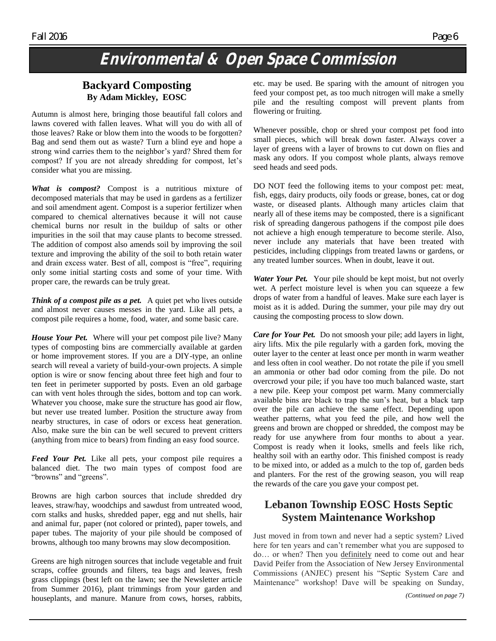### **Environmental & Open Space Commission**

### **Backyard Composting By Adam Mickley, EOSC**

Autumn is almost here, bringing those beautiful fall colors and lawns covered with fallen leaves. What will you do with all of those leaves? Rake or blow them into the woods to be forgotten? Bag and send them out as waste? Turn a blind eye and hope a strong wind carries them to the neighbor's yard? Shred them for compost? If you are not already shredding for compost, let's consider what you are missing.

*What is compost?* Compost is a nutritious mixture of decomposed materials that may be used in gardens as a fertilizer and soil amendment agent. Compost is a superior fertilizer when compared to chemical alternatives because it will not cause chemical burns nor result in the buildup of salts or other impurities in the soil that may cause plants to become stressed. The addition of compost also amends soil by improving the soil texture and improving the ability of the soil to both retain water and drain excess water. Best of all, compost is "free", requiring only some initial starting costs and some of your time. With proper care, the rewards can be truly great.

*Think of a compost pile as a pet.* A quiet pet who lives outside and almost never causes messes in the yard. Like all pets, a compost pile requires a home, food, water, and some basic care.

*House Your Pet.* Where will your pet compost pile live? Many types of composting bins are commercially available at garden or home improvement stores. If you are a DIY-type, an online search will reveal a variety of build-your-own projects. A simple option is wire or snow fencing about three feet high and four to ten feet in perimeter supported by posts. Even an old garbage can with vent holes through the sides, bottom and top can work. Whatever you choose, make sure the structure has good air flow, but never use treated lumber. Position the structure away from nearby structures, in case of odors or excess heat generation. Also, make sure the bin can be well secured to prevent critters (anything from mice to bears) from finding an easy food source.

*Feed Your Pet.* Like all pets, your compost pile requires a balanced diet. The two main types of compost food are "browns" and "greens".

Browns are high carbon sources that include shredded dry leaves, straw/hay, woodchips and sawdust from untreated wood, corn stalks and husks, shredded paper, egg and nut shells, hair and animal fur, paper (not colored or printed), paper towels, and paper tubes. The majority of your pile should be composed of browns, although too many browns may slow decomposition.

Greens are high nitrogen sources that include vegetable and fruit scraps, coffee grounds and filters, tea bags and leaves, fresh grass clippings (best left on the lawn; see the Newsletter article from Summer 2016), plant trimmings from your garden and houseplants, and manure. Manure from cows, horses, rabbits,

etc. may be used. Be sparing with the amount of nitrogen you feed your compost pet, as too much nitrogen will make a smelly pile and the resulting compost will prevent plants from flowering or fruiting.

Whenever possible, chop or shred your compost pet food into small pieces, which will break down faster. Always cover a layer of greens with a layer of browns to cut down on flies and mask any odors. If you compost whole plants, always remove seed heads and seed pods.

DO NOT feed the following items to your compost pet: meat, fish, eggs, dairy products, oily foods or grease, bones, cat or dog waste, or diseased plants. Although many articles claim that nearly all of these items may be composted, there is a significant risk of spreading dangerous pathogens if the compost pile does not achieve a high enough temperature to become sterile. Also, never include any materials that have been treated with pesticides, including clippings from treated lawns or gardens, or any treated lumber sources. When in doubt, leave it out.

*Water Your Pet.*Your pile should be kept moist, but not overly wet. A perfect moisture level is when you can squeeze a few drops of water from a handful of leaves. Make sure each layer is moist as it is added. During the summer, your pile may dry out causing the composting process to slow down.

*Care for Your Pet.* Do not smoosh your pile; add layers in light, airy lifts. Mix the pile regularly with a garden fork, moving the outer layer to the center at least once per month in warm weather and less often in cool weather. Do not rotate the pile if you smell an ammonia or other bad odor coming from the pile. Do not overcrowd your pile; if you have too much balanced waste, start a new pile. Keep your compost pet warm. Many commercially available bins are black to trap the sun's heat, but a black tarp over the pile can achieve the same effect. Depending upon weather patterns, what you feed the pile, and how well the greens and brown are chopped or shredded, the compost may be ready for use anywhere from four months to about a year. Compost is ready when it looks, smells and feels like rich, healthy soil with an earthy odor. This finished compost is ready to be mixed into, or added as a mulch to the top of, garden beds and planters. For the rest of the growing season, you will reap the rewards of the care you gave your compost pet.

### **Lebanon Township EOSC Hosts Septic System Maintenance Workshop**

Just moved in from town and never had a septic system? Lived here for ten years and can't remember what you are supposed to do… or when? Then you definitely need to come out and hear David Peifer from the Association of New Jersey Environmental Commissions (ANJEC) present his "Septic System Care and Maintenance" workshop! Dave will be speaking on Sunday,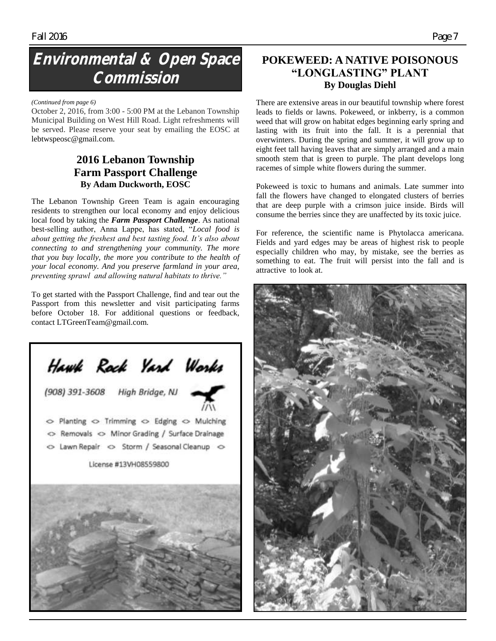### **Environmental & Open Space Commission**

#### *(Continued from page 6)*

October 2, 2016, from 3:00 - 5:00 PM at the Lebanon Township Municipal Building on West Hill Road. Light refreshments will be served. Please reserve your seat by emailing the EOSC at [lebtwspeosc@gmail.com.](mailto:lebtwspeosc@gmail.com)

### **2016 Lebanon Township Farm Passport Challenge By Adam Duckworth, EOSC**

The Lebanon Township Green Team is again encouraging residents to strengthen our local economy and enjoy delicious local food by taking the *Farm Passport Challenge*. As national best-selling author, Anna Lappe, has stated, "*Local food is about getting the freshest and best tasting food. It's also about connecting to and strengthening your community. The more that you buy locally, the more you contribute to the health of your local economy. And you preserve farmland in your area, preventing sprawl and allowing natural habitats to thrive."*

To get started with the Passport Challenge, find and tear out the Passport from this newsletter and visit participating farms before October 18. For additional questions or feedback, contact [LTGreenTeam@gmail.com.](mailto:LTGreenTeam@gmail.com)



### **POKEWEED: A NATIVE POISONOUS "LONGLASTING" PLANT By Douglas Diehl**

There are extensive areas in our beautiful township where forest leads to fields or lawns. Pokeweed, or inkberry, is a common weed that will grow on habitat edges beginning early spring and lasting with its fruit into the fall. It is a perennial that overwinters. During the spring and summer, it will grow up to eight feet tall having leaves that are simply arranged and a main smooth stem that is green to purple. The plant develops long racemes of simple white flowers during the summer.

Pokeweed is toxic to humans and animals. Late summer into fall the flowers have changed to elongated clusters of berries that are deep purple with a crimson juice inside. Birds will consume the berries since they are unaffected by its toxic juice.

For reference, the scientific name is Phytolacca americana. Fields and yard edges may be areas of highest risk to people especially children who may, by mistake, see the berries as something to eat. The fruit will persist into the fall and is attractive to look at.

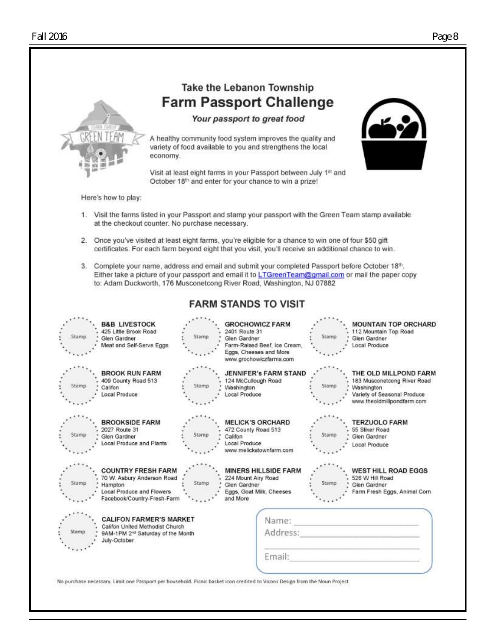

### Take the Lebanon Township **Farm Passport Challenge**

Your passport to great food

A healthy community food system improves the quality and variety of food available to you and strengthens the local economy.

Visit at least eight farms in your Passport between July 1st and October 18th and enter for your chance to win a prize!



Here's how to play:

- 1. Visit the farms listed in your Passport and stamp your passport with the Green Team stamp available at the checkout counter. No purchase necessary.
- 2. Once you've visited at least eight farms, you're eligible for a chance to win one of four \$50 gift certificates. For each farm beyond eight that you visit, you'll receive an additional chance to win.
- 3. Complete your name, address and email and submit your completed Passport before October 18th. Either take a picture of your passport and email it to LTGreenTeam@gmail.com or mail the paper copy to: Adam Duckworth, 176 Musconetcong River Road, Washington, NJ 07882

### **FARM STANDS TO VISIT**



No purchase necessary. Limit one Passport per household. Picnic basket icon credited to Vicons Design from the Noun Project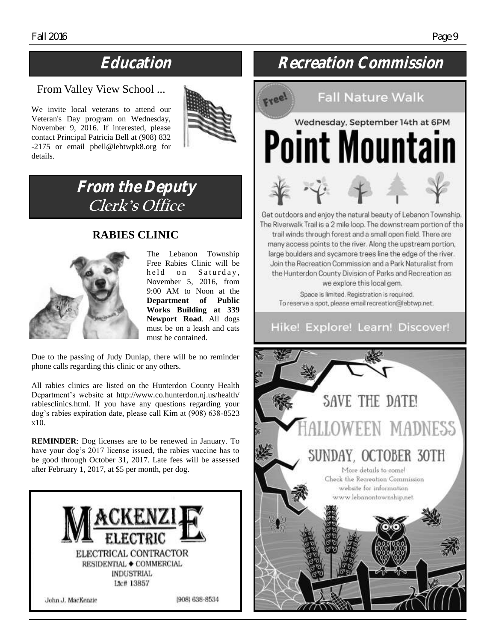### From Valley View School ...

We invite local veterans to attend our Veteran's Day program on Wednesday, November 9, 2016. If interested, please contact Principal Patricia Bell at (908) 832 -2175 or email [pbell@lebtwpk8.org](mailto:pbell@lebtwpk8.org) for details.



### **From the Deputy Clerk's Office**

### **RABIES CLINIC**



The Lebanon Township Free Rabies Clinic will be held on Saturday, November 5, 2016, from 9:00 AM to Noon at the **Department of Public Works Building at 339 Newport Road**. All dogs must be on a leash and cats must be contained.

Due to the passing of Judy Dunlap, there will be no reminder phone calls regarding this clinic or any others.

All rabies clinics are listed on the Hunterdon County Health Department's website at [http://www.co.hunterdon.nj.us/health/](http://www.co.hunterdon.nj.us/health/rabiesclinics.html) [rabiesclinics.html.](http://www.co.hunterdon.nj.us/health/rabiesclinics.html) If you have any questions regarding your dog's rabies expiration date, please call Kim at (908) 638-8523 x10.

**REMINDER**: Dog licenses are to be renewed in January. To have your dog's 2017 license issued, the rabies vaccine has to be good through October 31, 2017. Late fees will be assessed after February 1, 2017, at \$5 per month, per dog.



### **Education Recreation Commission**

## **Fall Nature Walk** Wednesday, September 14th at 6PM Point Mountain



Get outdoors and enjoy the natural beauty of Lebanon Township. The Riverwalk Trail is a 2 mile loop. The downstream portion of the trail winds through forest and a small open field. There are many access points to the river. Along the upstream portion, large boulders and sycamore trees line the edge of the river. Join the Recreation Commission and a Park Naturalist from the Hunterdon County Division of Parks and Recreation as we explore this local gem.

Space is limited. Registration is required. To reserve a spot, please email recreation@lebtwp.net.

### Hike! Explore! Learn! Discover!

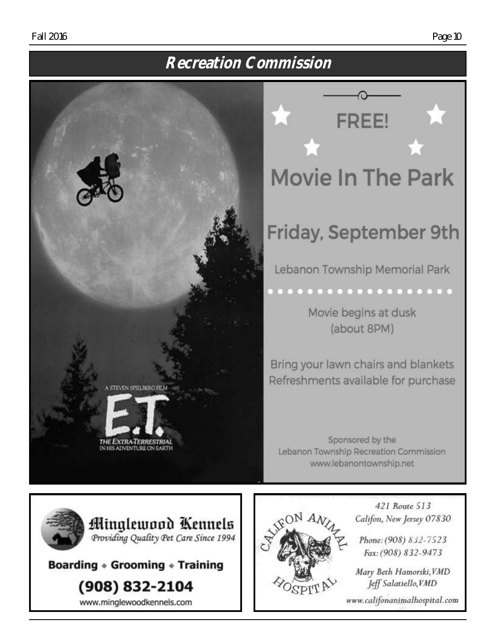### **Recreation Commission**



Friday, September 9th Lebanon Township Memorial Park . . . . . . . . . . . . . . .

**FREE!** 

Movie begins at dusk (about 8PM)

Bring your lawn chairs and blankets Refreshments available for purchase

Sponsored by the Lebanon Township Recreation Commission www.lebanontownship.net

> 421 Route 513 Califon, New Jersey 07830

Phone: (908) 832-7523 Fax: (908) 832-9473

Mary Beth Hamorski, VMD Jeff Salatiello, VMD

www.califonanimalhospital.com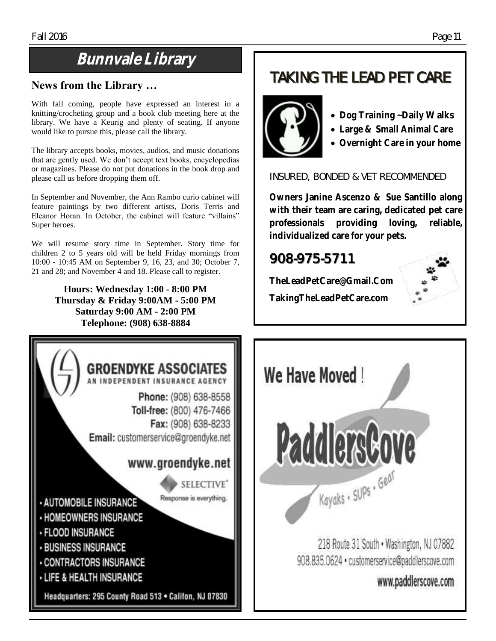### **Bunnvale Library**

### **News from the Library …**

With fall coming, people have expressed an interest in a knitting/crocheting group and a book club meeting here at the library. We have a Keurig and plenty of seating. If anyone would like to pursue this, please call the library.

The library accepts books, movies, audios, and music donations that are gently used. We don't accept text books, encyclopedias or magazines. Please do not put donations in the book drop and please call us before dropping them off.

In September and November, the Ann Rambo curio cabinet will feature paintings by two different artists, Doris Terris and Eleanor Horan. In October, the cabinet will feature "villains" Super heroes.

We will resume story time in September. Story time for children 2 to 5 years old will be held Friday mornings from 10:00 - 10:45 AM on September 9, 16, 23, and 30; October 7, 21 and 28; and November 4 and 18. Please call to register.

> **Hours: Wednesday 1:00 - 8:00 PM Thursday & Friday 9:00AM - 5:00 PM Saturday 9:00 AM - 2:00 PM Telephone: (908) 638-8884**



### **TAKING THE LEAD PET CARE**



- **Dog Training ~ Daily Walks**
- **Large & Small Animal Care**
- **Overnight Care in your home**

**INSURED, BONDED & VET RECOMMENDED**

**Owners Janine Ascenzo & Sue Santillo along with their team are caring, dedicated pet care professionals providing loving, reliable, individualized care for your pets.**

### **908-975-5711**

**TheLeadPetCare@Gmail.Com TakingTheLeadPetCare.com**



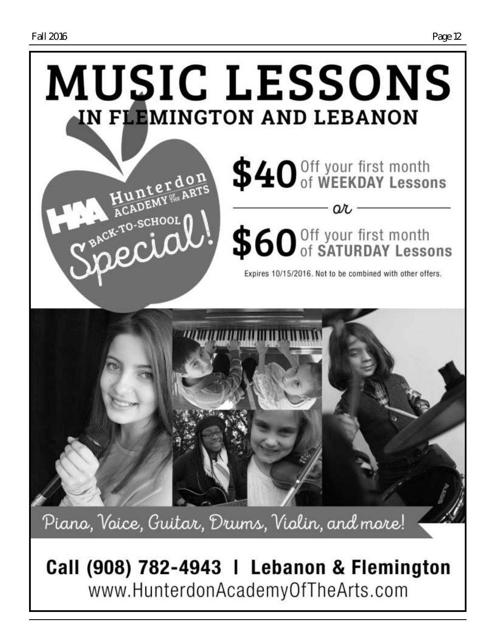

Piano, Voice, Guitar, Drums, Violin, and more!

Call (908) 782-4943 | Lebanon & Flemington www.HunterdonAcademyOfTheArts.com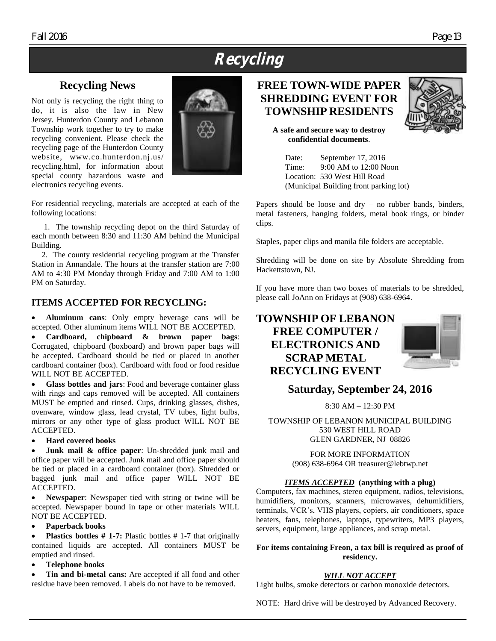### **Recycling**

### **Recycling News**

Not only is recycling the right thing to do, it is also the law in New Jersey. Hunterdon County and Lebanon Township work together to try to make recycling convenient. Please check the recycling page of the Hunterdon County website, www.co.hunterdon.nj.us/ recycling.html, for information about special county hazardous waste and electronics recycling events.



For residential recycling, materials are accepted at each of the following locations:

 1. The township recycling depot on the third Saturday of each month between 8:30 and 11:30 AM behind the Municipal Building.

 2. The county residential recycling program at the Transfer Station in Annandale. The hours at the transfer station are 7:00 AM to 4:30 PM Monday through Friday and 7:00 AM to 1:00 PM on Saturday.

### **ITEMS ACCEPTED FOR RECYCLING:**

 **Aluminum cans**: Only empty beverage cans will be accepted. Other aluminum items WILL NOT BE ACCEPTED.

 **Cardboard, chipboard & brown paper bags**: Corrugated, chipboard (boxboard) and brown paper bags will be accepted. Cardboard should be tied or placed in another cardboard container (box). Cardboard with food or food residue WILL NOT BE ACCEPTED.

 **Glass bottles and jars**: Food and beverage container glass with rings and caps removed will be accepted. All containers MUST be emptied and rinsed. Cups, drinking glasses, dishes, ovenware, window glass, lead crystal, TV tubes, light bulbs, mirrors or any other type of glass product WILL NOT BE ACCEPTED.

#### **Hard covered books**

**Junk mail & office paper**: Un-shredded junk mail and office paper will be accepted. Junk mail and office paper should be tied or placed in a cardboard container (box). Shredded or bagged junk mail and office paper WILL NOT BE ACCEPTED.

 **Newspaper**: Newspaper tied with string or twine will be accepted. Newspaper bound in tape or other materials WILL NOT BE ACCEPTED.

#### **Paperback books**

**Plastics bottles # 1-7:** Plastic bottles # 1-7 that originally contained liquids are accepted. All containers MUST be emptied and rinsed.

### **Telephone books**

 **Tin and bi-metal cans:** Are accepted if all food and other residue have been removed. Labels do not have to be removed.

### **FREE TOWN-WIDE PAPER SHREDDING EVENT FOR TOWNSHIP RESIDENTS**

**A safe and secure way to destroy confidential documents**.

> Date: September 17, 2016 Time: 9:00 AM to 12:00 Noon Location: 530 West Hill Road (Municipal Building front parking lot)

Papers should be loose and dry – no rubber bands, binders, metal fasteners, hanging folders, metal book rings, or binder clips.

Staples, paper clips and manila file folders are acceptable.

Shredding will be done on site by Absolute Shredding from Hackettstown, NJ.

If you have more than two boxes of materials to be shredded, please call JoAnn on Fridays at (908) 638-6964.

### **TOWNSHIP OF LEBANON FREE COMPUTER / ELECTRONICS AND SCRAP METAL RECYCLING EVENT**



### **Saturday, September 24, 2016**

8:30 AM – 12:30 PM

TOWNSHIP OF LEBANON MUNICIPAL BUILDING 530 WEST HILL ROAD GLEN GARDNER, NJ 08826

> FOR MORE INFORMATION (908) 638-6964 OR [treasurer@lebtwp.net](mailto:treasurer@lebtwp.net)

### *ITEMS ACCEPTED* **(anything with a plug)**

Computers, fax machines, stereo equipment, radios, televisions, humidifiers, monitors, scanners, microwaves, dehumidifiers, terminals, VCR's, VHS players, copiers, air conditioners, space heaters, fans, telephones, laptops, typewriters, MP3 players, servers, equipment, large appliances, and scrap metal.

### **For items containing Freon, a tax bill is required as proof of residency.**

### *WILL NOT ACCEPT*

Light bulbs, smoke detectors or carbon monoxide detectors.

NOTE: Hard drive will be destroyed by Advanced Recovery.

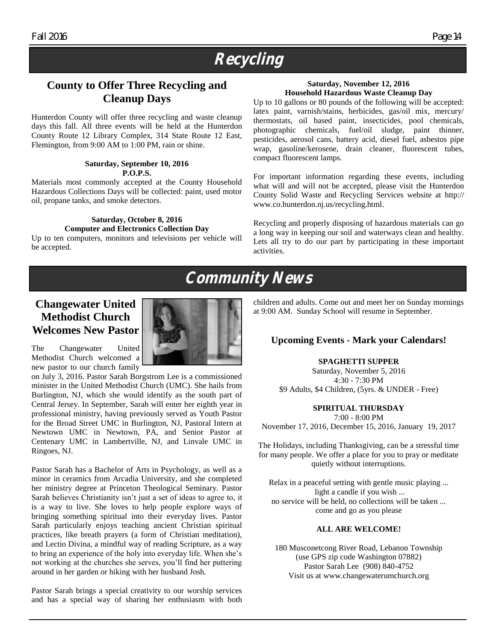### **Recycling**

### **County to Offer Three Recycling and Cleanup Days**

Hunterdon County will offer three recycling and waste cleanup days this fall. All three events will be held at the Hunterdon County Route 12 Library Complex, 314 State Route 12 East, Flemington, from 9:00 AM to 1:00 PM, rain or shine.

#### **Saturday, September 10, 2016 P.O.P.S.**

Materials most commonly accepted at the County Household Hazardous Collections Days will be collected: paint, used motor oil, propane tanks, and smoke detectors.

#### **Saturday, October 8, 2016 Computer and Electronics Collection Day**

Up to ten computers, monitors and televisions per vehicle will be accepted.

### **Saturday, November 12, 2016 Household Hazardous Waste Cleanup Day**

Up to 10 gallons or 80 pounds of the following will be accepted: latex paint, varnish/stains, herbicides, gas/oil mix, mercury/ thermostats, oil based paint, insecticides, pool chemicals, photographic chemicals, fuel/oil sludge, paint thinner, pesticides, aerosol cans, battery acid, diesel fuel, asbestos pipe wrap, gasoline/kerosene, drain cleaner, fluorescent tubes, compact fluorescent lamps.

For important information regarding these events, including what will and will not be accepted, please visit the Hunterdon County Solid Waste and Recycling Services website at [http://](http://www.co.hunterdon.nj.us/recycling.html) [www.co.hunterdon.nj.us/recycling.html.](http://www.co.hunterdon.nj.us/recycling.html)

Recycling and properly disposing of hazardous materials can go a long way in keeping our soil and waterways clean and healthy. Lets all try to do our part by participating in these important activities.

### **Community News**

### **Changewater United Methodist Church Welcomes New Pastor**



The Changewater United Methodist Church welcomed a new pastor to our church family

on July 3, 2016. Pastor Sarah Borgstrom Lee is a commissioned minister in the United Methodist Church (UMC). She hails from Burlington, NJ, which she would identify as the south part of Central Jersey. In September, Sarah will enter her eighth year in professional ministry, having previously served as Youth Pastor for the Broad Street UMC in Burlington, NJ, Pastoral Intern at Newtown UMC in Newtown, PA, and Senior Pastor at Centenary UMC in Lambertville, NJ, and Linvale UMC in Ringoes, NJ.

Pastor Sarah has a Bachelor of Arts in Psychology, as well as a minor in ceramics from Arcadia University, and she completed her ministry degree at Princeton Theological Seminary. Pastor Sarah believes Christianity isn't just a set of ideas to agree to, it is a way to live. She loves to help people explore ways of bringing something spiritual into their everyday lives. Pastor Sarah particularly enjoys teaching ancient Christian spiritual practices, like breath prayers (a form of Christian meditation), and Lectio Divina, a mindful way of reading Scripture, as a way to bring an experience of the holy into everyday life. When she's not working at the churches she serves, you'll find her puttering around in her garden or hiking with her husband Josh.

Pastor Sarah brings a special creativity to our worship services and has a special way of sharing her enthusiasm with both children and adults. Come out and meet her on Sunday mornings at 9:00 AM. Sunday School will resume in September.

### **Upcoming Events - Mark your Calendars!**

#### **SPAGHETTI SUPPER**

Saturday, November 5, 2016 4:30 - 7:30 PM \$9 Adults, \$4 Children, (5yrs. & UNDER - Free)

#### **SPIRITUAL THURSDAY**

7:00 - 8:00 PM November 17, 2016, December 15, 2016, January 19, 2017

The Holidays, including Thanksgiving, can be a stressful time for many people. We offer a place for you to pray or meditate quietly without interruptions.

Relax in a peaceful setting with gentle music playing ... light a candle if you wish ... no service will be held, no collections will be taken ... come and go as you please

#### **ALL ARE WELCOME!**

180 Musconetcong River Road, Lebanon Township (use GPS zip code Washington 07882) Pastor Sarah Lee (908) 840-4752 Visit us at [www.changewaterumchurch.org](http://www.changewaterumchurch.org)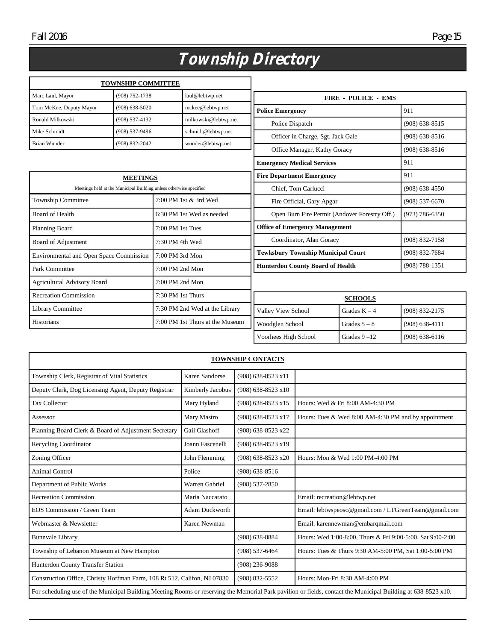## **Township Directory**

|                                                                    | <b>TOWNSHIP COMMITTEE</b>         |                                           |                                 |                                               |                 |                    |
|--------------------------------------------------------------------|-----------------------------------|-------------------------------------------|---------------------------------|-----------------------------------------------|-----------------|--------------------|
| Marc Laul, Mayor                                                   | (908) 752-1738<br>laul@lebtwp.net |                                           | <b>FIRE - POLICE - EMS</b>      |                                               |                 |                    |
| Tom McKee, Deputy Mayor                                            | $(908) 638 - 5020$                |                                           | mckee@lebtwp.net                | <b>Police Emergency</b>                       |                 | 911                |
| Ronald Milkowski                                                   | $(908) 537 - 4132$                |                                           | milkowski@lebtwp.net            | Police Dispatch                               |                 | $(908) 638 - 8515$ |
| Mike Schmidt                                                       | (908) 537-9496                    |                                           | schmidt@lebtwp.net              | Officer in Charge, Sgt. Jack Gale             |                 | $(908) 638 - 8516$ |
| Brian Wunder                                                       | (908) 832-2042                    |                                           | wunder@lebtwp.net               | Office Manager, Kathy Goracy                  |                 | $(908) 638 - 8516$ |
|                                                                    |                                   |                                           |                                 | <b>Emergency Medical Services</b>             |                 | 911                |
| <b>MEETINGS</b>                                                    |                                   | <b>Fire Department Emergency</b>          |                                 | 911                                           |                 |                    |
| Meetings held at the Municipal Building unless otherwise specified |                                   | Chief, Tom Carlucci                       |                                 | $(908) 638 - 4550$                            |                 |                    |
| <b>Township Committee</b>                                          |                                   |                                           | 7:00 PM 1st & 3rd Wed           | Fire Official, Gary Apgar                     |                 | $(908) 537 - 6670$ |
| <b>Board of Health</b>                                             |                                   |                                           | 6:30 PM 1st Wed as needed       | Open Burn Fire Permit (Andover Forestry Off.) |                 | $(973) 786 - 6350$ |
| Planning Board                                                     |                                   | 7:00 PM 1st Tues                          |                                 | <b>Office of Emergency Management</b>         |                 |                    |
| <b>Board of Adjustment</b><br>7:30 PM 4th Wed                      |                                   | Coordinator, Alan Goracy                  |                                 | (908) 832-7158                                |                 |                    |
| 7:00 PM 3rd Mon<br>Environmental and Open Space Commission         |                                   | <b>Tewksbury Township Municipal Court</b> |                                 | (908) 832-7684                                |                 |                    |
| Park Committee<br>7:00 PM 2nd Mon                                  |                                   | <b>Hunterdon County Board of Health</b>   |                                 | $(908) 788 - 1351$                            |                 |                    |
| 7:00 PM 2nd Mon<br><b>Agricultural Advisory Board</b>              |                                   |                                           |                                 |                                               |                 |                    |
| <b>Recreation Commission</b><br>7:30 PM 1st Thurs                  |                                   | <b>SCHOOLS</b>                            |                                 |                                               |                 |                    |
| <b>Library Committee</b><br>7:30 PM 2nd Wed at the Library         |                                   | Valley View School                        | Grades $K - 4$                  | (908) 832-2175                                |                 |                    |
| Historians                                                         |                                   |                                           | 7:00 PM 1st Thurs at the Museum | Woodglen School                               | Grades $5 - 8$  | $(908) 638 - 4111$ |
|                                                                    |                                   |                                           |                                 | Voorhees High School                          | Grades $9 - 12$ | $(908) 638 - 6116$ |

| <b>TOWNSHIP CONTACTS</b>                                                                                                                                      |                       |                      |                                                            |  |
|---------------------------------------------------------------------------------------------------------------------------------------------------------------|-----------------------|----------------------|------------------------------------------------------------|--|
| Township Clerk, Registrar of Vital Statistics                                                                                                                 | Karen Sandorse        | (908) 638-8523 x11   |                                                            |  |
| Deputy Clerk, Dog Licensing Agent, Deputy Registrar                                                                                                           | Kimberly Jacobus      | (908) 638-8523 x10   |                                                            |  |
| <b>Tax Collector</b>                                                                                                                                          | Mary Hyland           | $(908)$ 638-8523 x15 | Hours: Wed & Fri 8:00 AM-4:30 PM                           |  |
| Assessor                                                                                                                                                      | Mary Mastro           | (908) 638-8523 x17   | Hours: Tues & Wed 8:00 AM-4:30 PM and by appointment       |  |
| Planning Board Clerk & Board of Adjustment Secretary                                                                                                          | Gail Glashoff         | (908) 638-8523 x22   |                                                            |  |
| <b>Recycling Coordinator</b>                                                                                                                                  | Joann Fascenelli      | (908) 638-8523 x19   |                                                            |  |
| Zoning Officer                                                                                                                                                | John Flemming         | (908) 638-8523 x20   | Hours: Mon & Wed 1:00 PM-4:00 PM                           |  |
| <b>Animal Control</b>                                                                                                                                         | Police                | $(908) 638 - 8516$   |                                                            |  |
| Department of Public Works                                                                                                                                    | Warren Gabriel        | $(908) 537 - 2850$   |                                                            |  |
| <b>Recreation Commission</b>                                                                                                                                  | Maria Naccarato       |                      | Email: recreation@lebtwp.net                               |  |
| EOS Commission / Green Team                                                                                                                                   | <b>Adam Duckworth</b> |                      | Email: lebtwspeosc@gmail.com / LTGreenTeam@gmail.com       |  |
| Webmaster & Newsletter                                                                                                                                        | Karen Newman          |                      | Email: karennewman@embarqmail.com                          |  |
| <b>Bunnvale Library</b>                                                                                                                                       |                       | $(908) 638 - 8884$   | Hours: Wed 1:00-8:00, Thurs & Fri 9:00-5:00, Sat 9:00-2:00 |  |
| Township of Lebanon Museum at New Hampton                                                                                                                     |                       | $(908) 537 - 6464$   | Hours: Tues & Thurs 9:30 AM-5:00 PM, Sat 1:00-5:00 PM      |  |
| Hunterdon County Transfer Station                                                                                                                             |                       | $(908)$ 236-9088     |                                                            |  |
| Construction Office, Christy Hoffman Farm, 108 Rt 512, Califon, NJ 07830                                                                                      |                       | (908) 832-5552       | Hours: Mon-Fri 8:30 AM-4:00 PM                             |  |
| For scheduling use of the Municipal Building Meeting Rooms or reserving the Memorial Park pavilion or fields, contact the Municipal Building at 638-8523 x10. |                       |                      |                                                            |  |